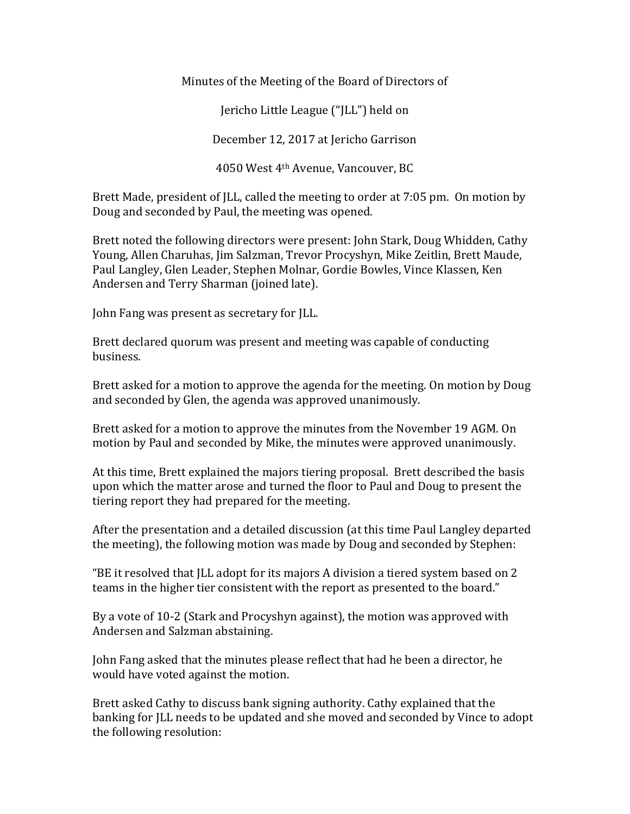Minutes of the Meeting of the Board of Directors of

Jericho Little League ("JLL") held on

December 12, 2017 at Jericho Garrison

4050 West  $4<sup>th</sup>$  Avenue, Vancouver, BC

Brett Made, president of JLL, called the meeting to order at 7:05 pm. On motion by Doug and seconded by Paul, the meeting was opened.

Brett noted the following directors were present: John Stark, Doug Whidden, Cathy Young, Allen Charuhas, Jim Salzman, Trevor Procyshyn, Mike Zeitlin, Brett Maude, Paul Langley, Glen Leader, Stephen Molnar, Gordie Bowles, Vince Klassen, Ken Andersen and Terry Sharman (joined late).

John Fang was present as secretary for JLL.

Brett declared quorum was present and meeting was capable of conducting business.

Brett asked for a motion to approve the agenda for the meeting. On motion by Doug and seconded by Glen, the agenda was approved unanimously.

Brett asked for a motion to approve the minutes from the November 19 AGM. On motion by Paul and seconded by Mike, the minutes were approved unanimously.

At this time, Brett explained the majors tiering proposal. Brett described the basis upon which the matter arose and turned the floor to Paul and Doug to present the tiering report they had prepared for the meeting.

After the presentation and a detailed discussion (at this time Paul Langley departed the meeting), the following motion was made by Doug and seconded by Stephen:

"BE it resolved that  $|LL$  adopt for its majors A division a tiered system based on 2 teams in the higher tier consistent with the report as presented to the board."

By a vote of 10-2 (Stark and Procyshyn against), the motion was approved with Andersen and Salzman abstaining.

John Fang asked that the minutes please reflect that had he been a director, he would have voted against the motion.

Brett asked Cathy to discuss bank signing authority. Cathy explained that the banking for JLL needs to be updated and she moved and seconded by Vince to adopt the following resolution: